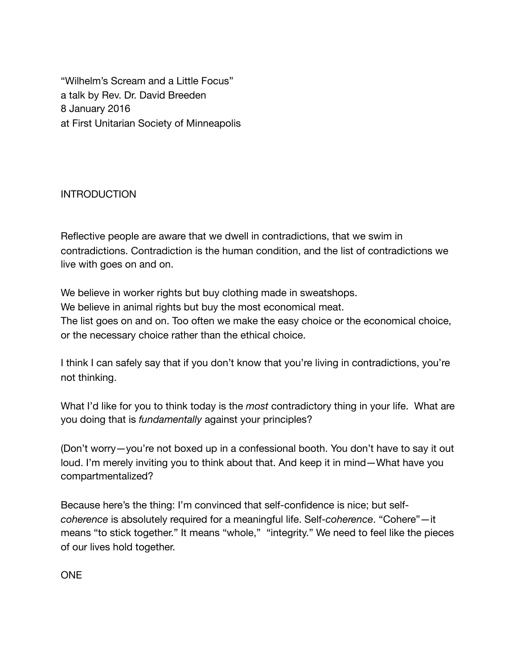"Wilhelm's Scream and a Little Focus" a talk by Rev. Dr. David Breeden 8 January 2016 at First Unitarian Society of Minneapolis

## INTRODUCTION

Reflective people are aware that we dwell in contradictions, that we swim in contradictions. Contradiction is the human condition, and the list of contradictions we live with goes on and on.

We believe in worker rights but buy clothing made in sweatshops. We believe in animal rights but buy the most economical meat. The list goes on and on. Too often we make the easy choice or the economical choice, or the necessary choice rather than the ethical choice.

I think I can safely say that if you don't know that you're living in contradictions, you're not thinking.

What I'd like for you to think today is the *most* contradictory thing in your life. What are you doing that is *fundamentally* against your principles?

(Don't worry—you're not boxed up in a confessional booth. You don't have to say it out loud. I'm merely inviting you to think about that. And keep it in mind—What have you compartmentalized?

Because here's the thing: I'm convinced that self-confidence is nice; but self*coherence* is absolutely required for a meaningful life. Self-*coherence*. "Cohere"—it means "to stick together." It means "whole," "integrity." We need to feel like the pieces of our lives hold together.

ONE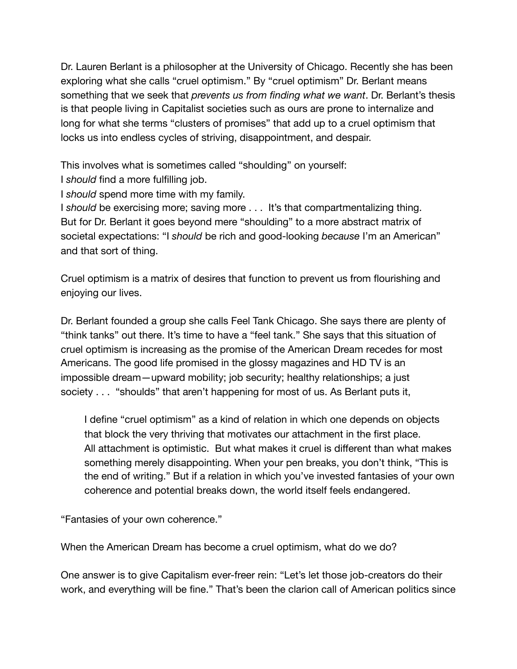Dr. Lauren Berlant is a philosopher at the University of Chicago. Recently she has been exploring what she calls "cruel optimism." By "cruel optimism" Dr. Berlant means something that we seek that *prevents us from finding what we want*. Dr. Berlant's thesis is that people living in Capitalist societies such as ours are prone to internalize and long for what she terms "clusters of promises" that add up to a cruel optimism that locks us into endless cycles of striving, disappointment, and despair.

This involves what is sometimes called "shoulding" on yourself:

I *should* find a more fulfilling job.

I *should* spend more time with my family.

I *should* be exercising more; saving more . . . It's that compartmentalizing thing. But for Dr. Berlant it goes beyond mere "shoulding" to a more abstract matrix of societal expectations: "I *should* be rich and good-looking *because* I'm an American" and that sort of thing.

Cruel optimism is a matrix of desires that function to prevent us from flourishing and enjoying our lives.

Dr. Berlant founded a group she calls Feel Tank Chicago. She says there are plenty of "think tanks" out there. It's time to have a "feel tank." She says that this situation of cruel optimism is increasing as the promise of the American Dream recedes for most Americans. The good life promised in the glossy magazines and HD TV is an impossible dream—upward mobility; job security; healthy relationships; a just society . . . "shoulds" that aren't happening for most of us. As Berlant puts it,

I define "cruel optimism" as a kind of relation in which one depends on objects that block the very thriving that motivates our attachment in the first place. All attachment is optimistic. But what makes it cruel is different than what makes something merely disappointing. When your pen breaks, you don't think, "This is the end of writing." But if a relation in which you've invested fantasies of your own coherence and potential breaks down, the world itself feels endangered.

"Fantasies of your own coherence."

When the American Dream has become a cruel optimism, what do we do?

One answer is to give Capitalism ever-freer rein: "Let's let those job-creators do their work, and everything will be fine." That's been the clarion call of American politics since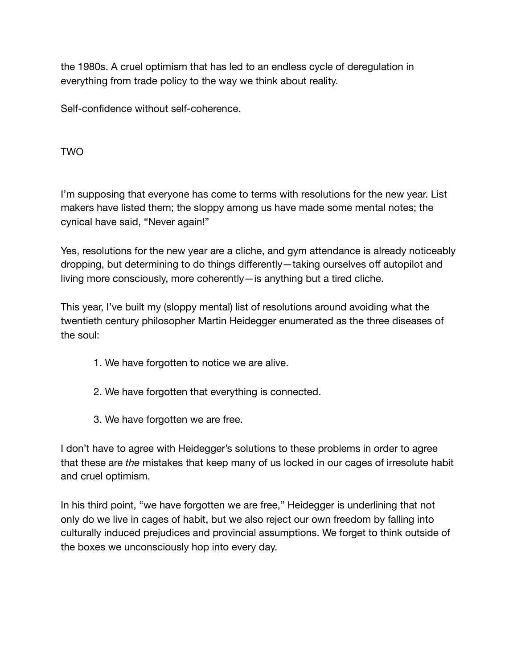the 1980s. A cruel optimism that has led to an endless cycle of deregulation in everything from trade policy to the way we think about reality.

Self-confidence without self-coherence.

TWO

I'm supposing that everyone has come to terms with resolutions for the new year. List makers have listed them; the sloppy among us have made some mental notes; the cynical have said, "Never again!"

Yes, resolutions for the new year are a cliche, and gym attendance is already noticeably dropping, but determining to do things differently—taking ourselves off autopilot and living more consciously, more coherently—is anything but a tired cliche.

This year, I've built my (sloppy mental) list of resolutions around avoiding what the twentieth century philosopher Martin Heidegger enumerated as the three diseases of the soul:

- 1. We have forgotten to notice we are alive.
- 2. We have forgotten that everything is connected.
- 3. We have forgotten we are free.

I don't have to agree with Heidegger's solutions to these problems in order to agree that these are *the* mistakes that keep many of us locked in our cages of irresolute habit and cruel optimism.

In his third point, "we have forgotten we are free," Heidegger is underlining that not only do we live in cages of habit, but we also reject our own freedom by falling into culturally induced prejudices and provincial assumptions. We forget to think outside of the boxes we unconsciously hop into every day.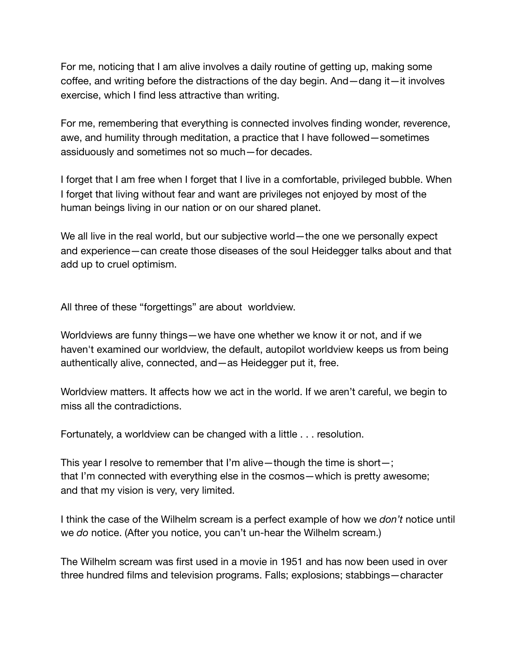For me, noticing that I am alive involves a daily routine of getting up, making some coffee, and writing before the distractions of the day begin. And—dang it—it involves exercise, which I find less attractive than writing.

For me, remembering that everything is connected involves finding wonder, reverence, awe, and humility through meditation, a practice that I have followed—sometimes assiduously and sometimes not so much—for decades.

I forget that I am free when I forget that I live in a comfortable, privileged bubble. When I forget that living without fear and want are privileges not enjoyed by most of the human beings living in our nation or on our shared planet.

We all live in the real world, but our subjective world—the one we personally expect and experience—can create those diseases of the soul Heidegger talks about and that add up to cruel optimism.

All three of these "forgettings" are about worldview.

Worldviews are funny things—we have one whether we know it or not, and if we haven't examined our worldview, the default, autopilot worldview keeps us from being authentically alive, connected, and—as Heidegger put it, free.

Worldview matters. It affects how we act in the world. If we aren't careful, we begin to miss all the contradictions.

Fortunately, a worldview can be changed with a little . . . resolution.

This year I resolve to remember that I'm alive—though the time is short—; that I'm connected with everything else in the cosmos—which is pretty awesome; and that my vision is very, very limited.

I think the case of the Wilhelm scream is a perfect example of how we *don't* notice until we *do* notice. (After you notice, you can't un-hear the Wilhelm scream.)

The Wilhelm scream was first used in a movie in 1951 and has now been used in over three hundred films and television programs. Falls; explosions; stabbings—character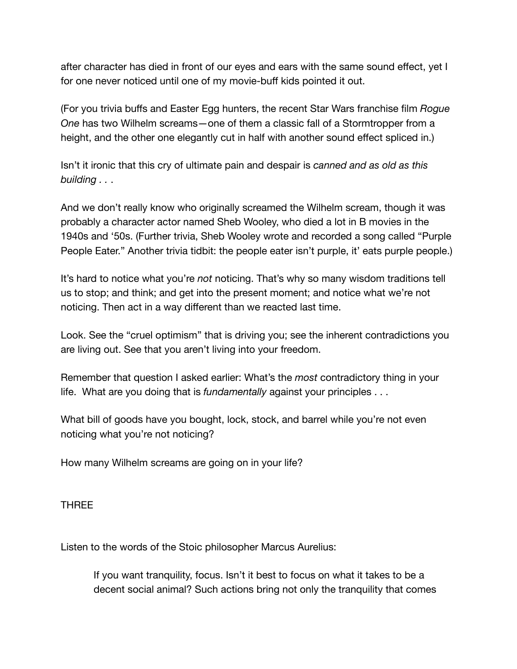after character has died in front of our eyes and ears with the same sound effect, yet I for one never noticed until one of my movie-buff kids pointed it out.

(For you trivia buffs and Easter Egg hunters, the recent Star Wars franchise film *Rogue One* has two Wilhelm screams—one of them a classic fall of a Stormtropper from a height, and the other one elegantly cut in half with another sound effect spliced in.)

Isn't it ironic that this cry of ultimate pain and despair is *canned and as old as this building . .* .

And we don't really know who originally screamed the Wilhelm scream, though it was probably a character actor named Sheb Wooley, who died a lot in B movies in the 1940s and '50s. (Further trivia, Sheb Wooley wrote and recorded a song called "Purple People Eater." Another trivia tidbit: the people eater isn't purple, it' eats purple people.)

It's hard to notice what you're *not* noticing. That's why so many wisdom traditions tell us to stop; and think; and get into the present moment; and notice what we're not noticing. Then act in a way different than we reacted last time.

Look. See the "cruel optimism" that is driving you; see the inherent contradictions you are living out. See that you aren't living into your freedom.

Remember that question I asked earlier: What's the *most* contradictory thing in your life. What are you doing that is *fundamentally* against your principles . . .

What bill of goods have you bought, lock, stock, and barrel while you're not even noticing what you're not noticing?

How many Wilhelm screams are going on in your life?

THREE

Listen to the words of the Stoic philosopher Marcus Aurelius:

If you want tranquility, focus. Isn't it best to focus on what it takes to be a decent social animal? Such actions bring not only the tranquility that comes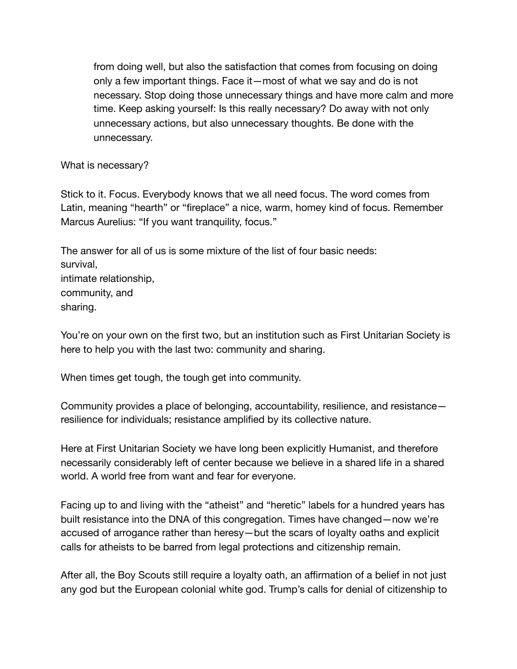from doing well, but also the satisfaction that comes from focusing on doing only a few important things. Face it—most of what we say and do is not necessary. Stop doing those unnecessary things and have more calm and more time. Keep asking yourself: Is this really necessary? Do away with not only unnecessary actions, but also unnecessary thoughts. Be done with the unnecessary.

What is necessary?

Stick to it. Focus. Everybody knows that we all need focus. The word comes from Latin, meaning "hearth" or "fireplace" a nice, warm, homey kind of focus. Remember Marcus Aurelius: "If you want tranquility, focus."

The answer for all of us is some mixture of the list of four basic needs: survival, intimate relationship, community, and sharing.

You're on your own on the first two, but an institution such as First Unitarian Society is here to help you with the last two: community and sharing.

When times get tough, the tough get into community.

Community provides a place of belonging, accountability, resilience, and resistance resilience for individuals; resistance amplified by its collective nature.

Here at First Unitarian Society we have long been explicitly Humanist, and therefore necessarily considerably left of center because we believe in a shared life in a shared world. A world free from want and fear for everyone.

Facing up to and living with the "atheist" and "heretic" labels for a hundred years has built resistance into the DNA of this congregation. Times have changed—now we're accused of arrogance rather than heresy—but the scars of loyalty oaths and explicit calls for atheists to be barred from legal protections and citizenship remain.

After all, the Boy Scouts still require a loyalty oath, an affirmation of a belief in not just any god but the European colonial white god. Trump's calls for denial of citizenship to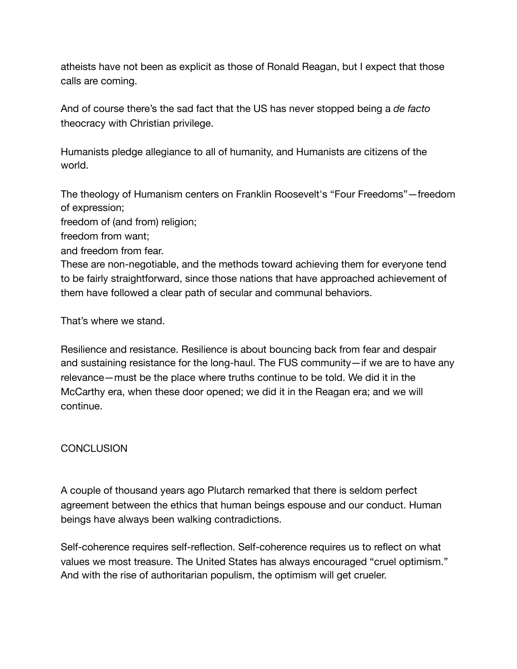atheists have not been as explicit as those of Ronald Reagan, but I expect that those calls are coming.

And of course there's the sad fact that the US has never stopped being a *de facto* theocracy with Christian privilege.

Humanists pledge allegiance to all of humanity, and Humanists are citizens of the world.

The theology of Humanism centers on Franklin Roosevelt's "Four Freedoms"—freedom of expression;

freedom of (and from) religion;

freedom from want;

and freedom from fear.

These are non-negotiable, and the methods toward achieving them for everyone tend to be fairly straightforward, since those nations that have approached achievement of them have followed a clear path of secular and communal behaviors.

That's where we stand.

Resilience and resistance. Resilience is about bouncing back from fear and despair and sustaining resistance for the long-haul. The FUS community—if we are to have any relevance—must be the place where truths continue to be told. We did it in the McCarthy era, when these door opened; we did it in the Reagan era; and we will continue.

## **CONCLUSION**

A couple of thousand years ago Plutarch remarked that there is seldom perfect agreement between the ethics that human beings espouse and our conduct. Human beings have always been walking contradictions.

Self-coherence requires self-reflection. Self-coherence requires us to reflect on what values we most treasure. The United States has always encouraged "cruel optimism." And with the rise of authoritarian populism, the optimism will get crueler.